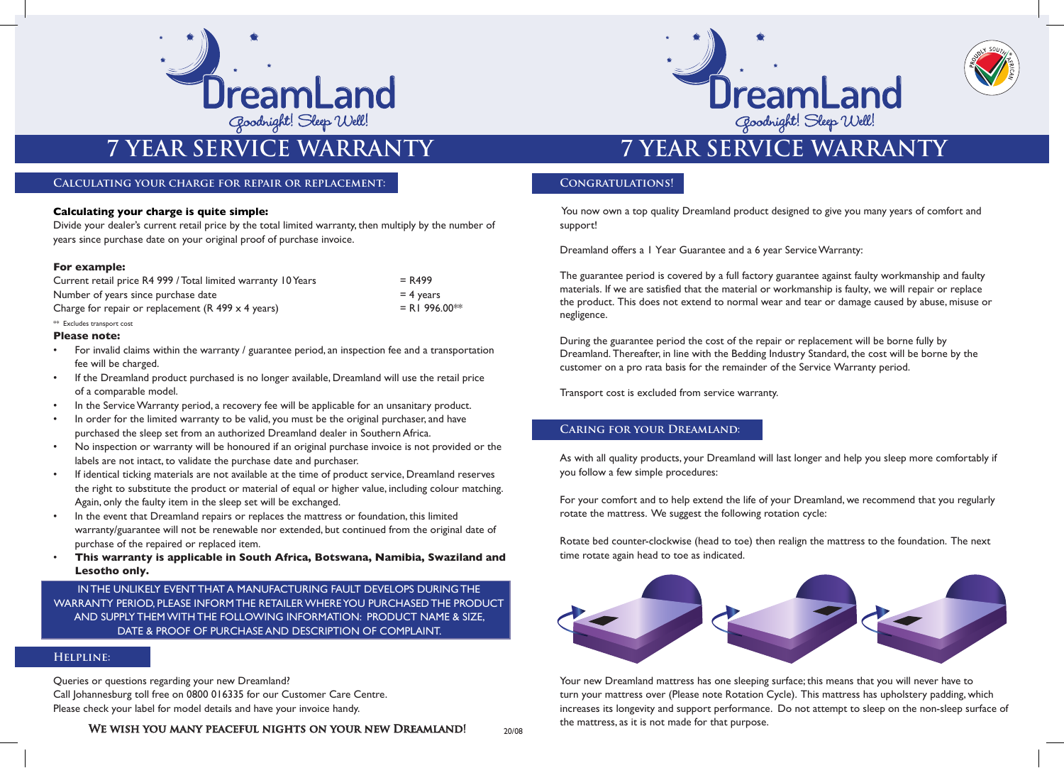

# **2** Goodhight! Sleep Well!<br> **7 YEAR SERVICE WARRANTY**<br> **7 YEAR SERVICE WARRANTY**

### **Calculating your charge for repair or replacement:**

### **Calculating your charge is quite simple:**

Divide your dealer's current retail price by the total limited warranty, then multiply by the number of years since purchase date on your original proof of purchase invoice.

### **For example:**

| Current retail price R4 999 / Total limited warranty 10 Years | $= R499$       |
|---------------------------------------------------------------|----------------|
| Number of years since purchase date                           | $=$ 4 years    |
| Charge for repair or replacement $(R$ 499 $\times$ 4 years)   | $= R1996.00**$ |

### \*\* Excludes transport cost

### **Please note:**

- For invalid claims within the warranty / guarantee period, an inspection fee and a transportation fee will be charged.
- If the Dreamland product purchased is no longer available, Dreamland will use the retail price of a comparable model.
- In the Service Warranty period, a recovery fee will be applicable for an unsanitary product.
- In order for the limited warranty to be valid, you must be the original purchaser, and have purchased the sleep set from an authorized Dreamland dealer in Southern Africa.
- No inspection or warranty will be honoured if an original purchase invoice is not provided or the labels are not intact, to validate the purchase date and purchaser.
- If identical ticking materials are not available at the time of product service, Dreamland reserves the right to substitute the product or material of equal or higher value, including colour matching. Again, only the faulty item in the sleep set will be exchanged.
- In the event that Dreamland repairs or replaces the mattress or foundation, this limited warranty/guarantee will not be renewable nor extended, but continued from the original date of purchase of the repaired or replaced item.
- **This warranty is applicable in South Africa, Botswana, Namibia, Swaziland and Lesotho only.**

INTHE UNLIKELY EVENT THAT A MANUFACTURING FAULT DEVELOPS DURING THE WARRANTY PERIOD, PLEASE INFORMTHE RETAILERWHEREYOU PURCHASED THE PRODUCT AND SUPPLY THEMWITH THE FOLLOWING INFORMATION: PRODUCT NAME & SIZE, DATE & PROOF OF PURCHASE AND DESCRIPTION OF COMPLAINT.

### **Helpline:**

Queries or questions regarding your new Dreamland? Call Johannesburg toll free on 0800 016335 for our Customer Care Centre. Please check your label for model details and have your invoice handy.

WE WISH YOU MANY PEACEFUL NIGHTS ON YOUR NEW DREAMLAND!





### **Congratulations!**

You now own a top quality Dreamland product designed to give you many years of comfort and support!

Dreamland offers a 1 Year Guarantee and a 6 year ServiceWarranty:

The guarantee period is covered by a full factory guarantee against faulty workmanship and faulty materials. If we are satisfied that the material or workmanship is faulty, we will repair or replace the product. This does not extend to normal wear and tear or damage caused by abuse, misuse or negligence.

During the guarantee period the cost of the repair or replacement will be borne fully by Dreamland. Thereafter, in line with the Bedding Industry Standard, the cost will be borne by the customer on a pro rata basis for the remainder of the Service Warranty period.

Transport cost is excluded from service warranty.

### **Caring for your Dreamland:**

As with all quality products, your Dreamland will last longer and help you sleep more comfortably if you follow a few simple procedures:

For your comfort and to help extend the life of your Dreamland, we recommend that you regularly rotate the mattress. We suggest the following rotation cycle:

Rotate bed counter-clockwise (head to toe) then realign the mattress to the foundation. The next time rotate again head to toe as indicated.



Your new Dreamland mattress has one sleeping surface; this means that you will never have to turn your mattress over (Please note Rotation Cycle). This mattress has upholstery padding, which increases its longevity and support performance. Do not attempt to sleep on the non-sleep surface of the mattress, as it is not made for that purpose.